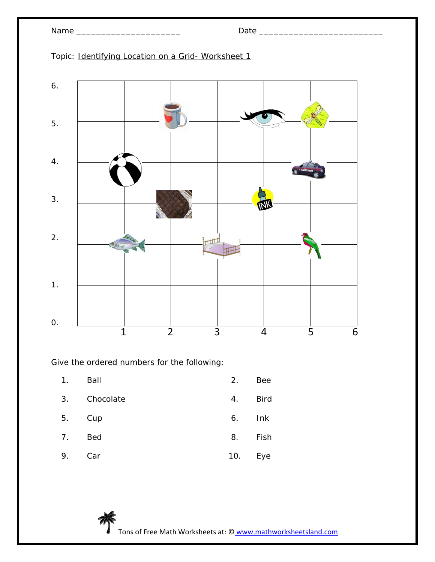

Topic: Identifying Location on a Grid- Worksheet 1

| 1 <sub>1</sub> | Ball       | 2.  | <b>Bee</b>  |
|----------------|------------|-----|-------------|
| 3.             | Chocolate  | 4.  | <b>Bird</b> |
| 5.             | Cup        | 6.  | Ink         |
| 7.             | <b>Bed</b> | 8.  | Fish        |
| 9.             | Car        | 10. | Eye         |

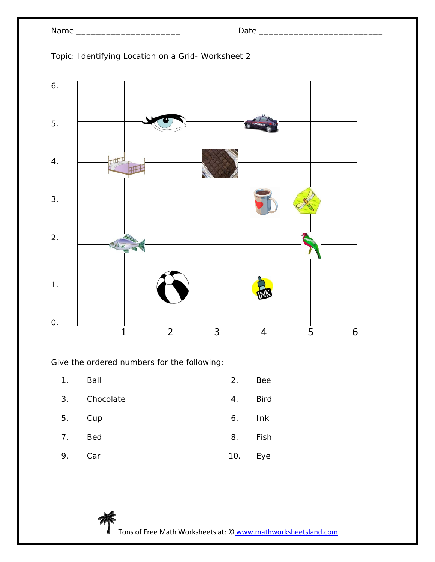Topic: Identifying Location on a Grid- Worksheet 2



| 1 <sub>1</sub> | Ball       | 2.  | <b>Bee</b>  |
|----------------|------------|-----|-------------|
| 3.             | Chocolate  | 4.  | <b>Bird</b> |
| 5.             | Cup        | 6.  | Ink         |
| 7.             | <b>Bed</b> | 8.  | Fish        |
| 9.             | Car        | 10. | Eye         |

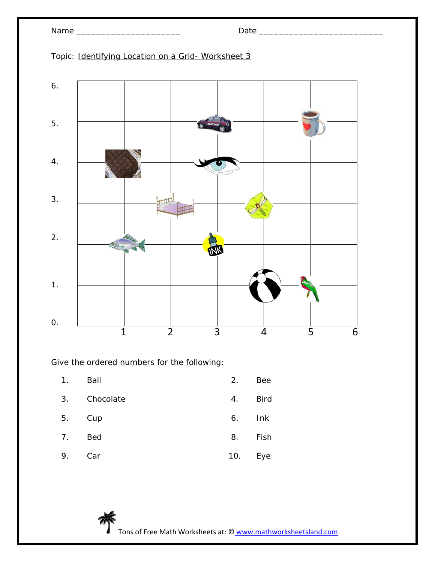

Topic: Identifying Location on a Grid- Worksheet 3



| 1. | Ball       | 2.  | <b>Bee</b>  |
|----|------------|-----|-------------|
| 3. | Chocolate  | 4.  | <b>Bird</b> |
| 5. | Cup        | 6.  | Ink         |
| 7. | <b>Bed</b> | 8.  | Fish        |
| 9. | Car        | 10. | Eye         |

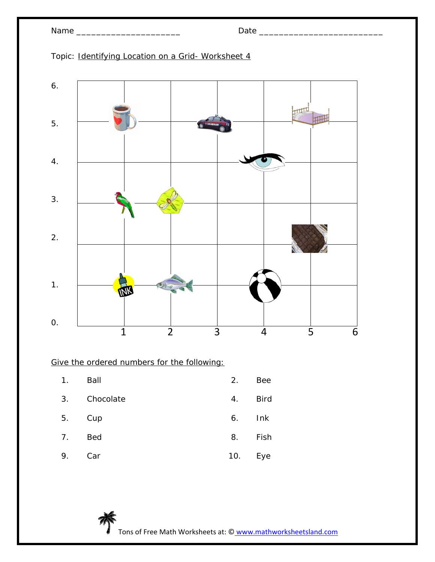| am<br>J<br>$\cdot$ |  |
|--------------------|--|
|--------------------|--|



Topic: Identifying Location on a Grid- Worksheet 4

| 1. | Ball       | 2.  | <b>Bee</b>  |
|----|------------|-----|-------------|
| 3. | Chocolate  | 4.  | <b>Bird</b> |
| 5. | Cup        | 6.  | Ink         |
| 7. | <b>Bed</b> | 8.  | Fish        |
| 9. | Car        | 10. | Eye         |